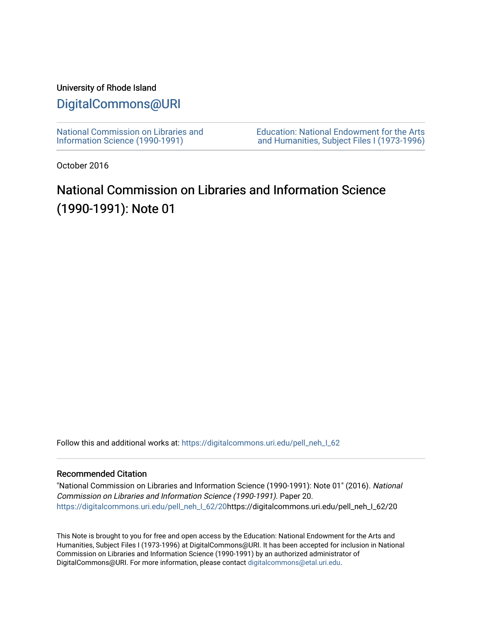## University of Rhode Island

## [DigitalCommons@URI](https://digitalcommons.uri.edu/)

[National Commission on Libraries and](https://digitalcommons.uri.edu/pell_neh_I_62) [Information Science \(1990-1991\)](https://digitalcommons.uri.edu/pell_neh_I_62) 

[Education: National Endowment for the Arts](https://digitalcommons.uri.edu/pell_neh_I)  [and Humanities, Subject Files I \(1973-1996\)](https://digitalcommons.uri.edu/pell_neh_I) 

October 2016

## National Commission on Libraries and Information Science (1990-1991): Note 01

Follow this and additional works at: https://digitalcommons.uri.edu/pell\_neh\_I\_62

## Recommended Citation

"National Commission on Libraries and Information Science (1990-1991): Note 01" (2016). National Commission on Libraries and Information Science (1990-1991). Paper 20. [https://digitalcommons.uri.edu/pell\\_neh\\_I\\_62/20h](https://digitalcommons.uri.edu/pell_neh_I_62/20?utm_source=digitalcommons.uri.edu%2Fpell_neh_I_62%2F20&utm_medium=PDF&utm_campaign=PDFCoverPages)ttps://digitalcommons.uri.edu/pell\_neh\_I\_62/20

This Note is brought to you for free and open access by the Education: National Endowment for the Arts and Humanities, Subject Files I (1973-1996) at DigitalCommons@URI. It has been accepted for inclusion in National Commission on Libraries and Information Science (1990-1991) by an authorized administrator of DigitalCommons@URI. For more information, please contact [digitalcommons@etal.uri.edu.](mailto:digitalcommons@etal.uri.edu)